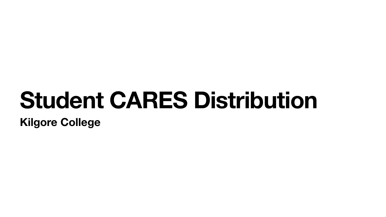# **Student CARES Distribution Kilgore College**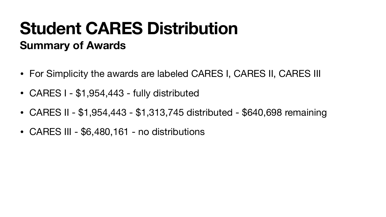# **Student CARES Distribution Summary of Awards**

- For Simplicity the awards are labeled CARES I, CARES II, CARES III
- CARES I \$1,954,443 fully distributed
- CARES II \$1,954,443 \$1,313,745 distributed \$640,698 remaining
- CARES III \$6,480,161 no distributions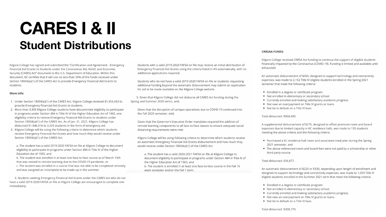# **CARES I & II Student Distributions**

Kilgore College has signed and submitted the "Certification and Agreement - Emergency Financial Aid Grants to Students under the Coronavirus Aid, Relief, and Economic Security (CARES) Act" document to the U.S. Department of Education. Within this document. KC certifies that it will use no less than 50% of the funds received under Section 18004(a)(1) of the CARES Act to provide Emergency Financial Aid Grants to students.

### More info:

- 1. Under Section 18004(a)(1) of the CARES Act, Kilgore College received \$1,954,443 to provide Emergency Financial Aid Grants to students.
- 2. More than 3,300 Kilgore College students have documented eligibility to participate in programs under Section 484 in Title IV of the Higher Education Act of 1965, one eligibility criteria to receive Emergency Financial Aid Grants to students under Section 18004(a)(1) of the CARES Act. As of Jan. 31, 2021, Kilgore College has disbursed \$1,946,316 to 3,333 students in the form of emergency aid.
- 3. Kilgore College will be using the following criteria to determine which students receive Emergency Financial Aid Grants and how much they would receive under Section 18004(a)(1) of the CARES Act:

a. The student has a valid 2019-2020 FAFSA on file at Kilgore College to document eligibility to participate in programs under Section 484 in Title IV of the Higher Education Act of 1965, and

b. The student was enrolled in at least one face-to-face course as of March 13th that was moved to remote learning due to the COVID-19 pandemic, or c. The student was enrolled in a course that was not able to be completed remotely

and was assigned an incomplete to be made up in the summer.

4. Students seeking Emergency Financial Aid Grants under the CARES Act who do not have a valid 2019-2020 FAFSA on file at Kilgore College are encouraged to complete one immediately.

Students with a valid 2019-2020 FAFSA on file may receive an initial distribution of Emergency Financial Aid Grants using the criteria listed in #3 automatically, with no additional applications required.

Students who do not have a valid 2019-2020 FAFSA on file or students requesting additional funding beyond the automatic disbursement may submit an application for aid to be made available on the Kilgore College website.

5. Given that Kilgore College did not disburse all CARES Act funding during the Spring and Summer 2020 terms, and;

Given that the disruption of campus operations due to COVID-19 continued into the Fall 2020 semester, and;

Given that the Governor's Executive Order mandates required the addition of remote learning components to all face-to-face classes to ensure adequate social distancing requirements were met;

Kilgore College will be using following criteria to determine which students receive an automatic Emergency Financial Aid Grants disbursement and how much they would receive under Section 18004(a)(1) of the CARES Act:

a. The student has a valid 2020-2021 FAFSA on file at Kilgore College to document eligibility to participate in programs under Section 484 in Title IV of the Higher Education Act of 1965, and b. The student is enrolled in at least one face-to-face course in the Fall 16 week semester and/or the Fall 1 term.

### **CRRSAA FUNDS:**

Kilgore College received CRRSA Act funding to continue the support of eligible students financially impacted by the Coronavirus (COVID-19). Funding is limited and available until exhausted.

An automatic disbursement of \$450, designed to support technology and connectivity expenses, was made to 2,152 Title IV eligible students enrolled in the Spring 2021 semester that meet the following criteria:

- Enrolled in a degree or certificate program.
- Not enrolled in elementary or secondary school.
- Currently enrolled and making satisfactory academic progress.
- Not owe an overpayment on Title IV grants or loans.
- Not be in default on a Title IV loan.

Total disbursed: \$968,400.

A supplemental disbursement of \$275, designed to offset premium room and board expenses due to limited capacity in KC residence halls, was made to 133 students meeting the above criteria and the following criteria:

- Purchased a KC residence hall room and associated meal plan during the Spring 2021 semester, and
- The above referenced room and board fees were not paid by a scholarship or other third party source.

Total disbursed: \$36,877.

An automatic disbursement of \$220 or \$330, depending upon length of enrollment and designed to support technology and connectivity expenses, was made to 1,059 Title IV eligible students enrolled in the Summer 2021 term that meet the following criteria:

- Enrolled in a degree or certificate program.
- Not enrolled in elementary or secondary school.
- Currently enrolled and making satisfactory academic progress.
- Not owe an overpayment on Title IV grants or loans.
- Not be in default on a Title IV loan.

Total disbursed: \$308,770.

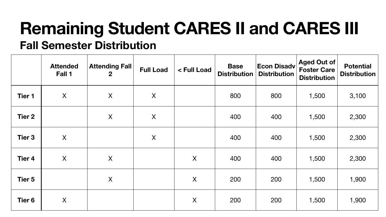# **Remaining Student CARES II and CARES III Fall Semester Distribution**



|               | <b>Attended</b><br>Fall 1 | <b>Attending Fall</b><br>$\mathbf{2}$ | <b>Full Load</b> | < Full Load      | <b>Base</b><br><b>Distribution</b> | $ \mathsf{Econ~Disadv} $<br><b>Distribution</b> | Aged Out of<br><b>Foster Care</b><br><b>Distribution</b> | <b>Potenti</b><br><b>Distribut</b> |
|---------------|---------------------------|---------------------------------------|------------------|------------------|------------------------------------|-------------------------------------------------|----------------------------------------------------------|------------------------------------|
| <b>Tier 1</b> | X                         | X                                     | X                |                  | 800                                | 800                                             | 1,500                                                    | 3,100                              |
| <b>Tier 2</b> |                           | X                                     | X                |                  | 400                                | 400                                             | 1,500                                                    | 2,300                              |
| Tier 3        | X                         |                                       | X                |                  | 400                                | 400                                             | 1,500                                                    | 2,300                              |
| <b>Tier 4</b> | X                         | X                                     |                  | X                | 400                                | 400                                             | 1,500                                                    | 2,300                              |
| <b>Tier 5</b> |                           | X                                     |                  | $\boldsymbol{X}$ | 200                                | 200                                             | 1,500                                                    | 1,900                              |
| <b>Tier 6</b> | X                         |                                       |                  | X                | 200                                | 200                                             | 1,500                                                    | 1,900                              |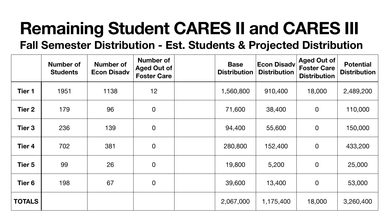# **Remaining Student CARES II and CARES III Fall Semester Distribution - Est. Students & Projected Distribution**



|               | <b>Number of</b><br><b>Students</b> | <b>Number of</b><br><b>Econ Disadv</b> | <b>Number of</b><br>Aged Out of<br><b>Foster Care</b> | <b>Base</b><br><b>Distribution</b> | <b>Econ Disadv</b><br><b>Distribution</b> | <b>Aged Out of</b><br><b>Foster Care</b><br><b>Distribution</b> | <b>Potential</b><br><b>Distributio</b> |
|---------------|-------------------------------------|----------------------------------------|-------------------------------------------------------|------------------------------------|-------------------------------------------|-----------------------------------------------------------------|----------------------------------------|
| <b>Tier 1</b> | 1951                                | 1138                                   | 12                                                    | 1,560,800                          | 910,400                                   | 18,000                                                          | 2,489,200                              |
| <b>Tier 2</b> | 179                                 | 96                                     | $\mathbf 0$                                           | 71,600                             | 38,400                                    | $\overline{O}$                                                  | 110,000                                |
| <b>Tier 3</b> | 236                                 | 139                                    | $\mathbf 0$                                           | 94,400                             | 55,600                                    | $\overline{0}$                                                  | 150,000                                |
| <b>Tier 4</b> | 702                                 | 381                                    | $\overline{0}$                                        | 280,800                            | 152,400                                   | $\overline{0}$                                                  | 433,200                                |
| Tier 5        | 99                                  | 26                                     | $\mathbf 0$                                           | 19,800                             | 5,200                                     | $\overline{0}$                                                  | 25,000                                 |
| <b>Tier 6</b> | 198                                 | 67                                     | $\mathbf 0$                                           | 39,600                             | 13,400                                    | $\overline{0}$                                                  | 53,000                                 |
| <b>TOTALS</b> |                                     |                                        |                                                       | 2,067,000                          | 1,175,400                                 | 18,000                                                          | 3,260,400                              |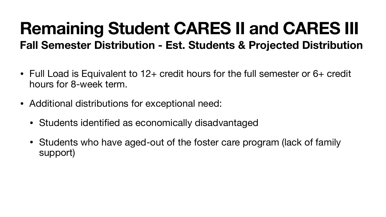# **Remaining Student CARES II and CARES III Fall Semester Distribution - Est. Students & Projected Distribution**

- Full Load is Equivalent to 12+ credit hours for the full semester or 6+ credit hours for 8-week term.
- Additional distributions for exceptional need:
	- Students identified as economically disadvantaged
	- Students who have aged-out of the foster care program (lack of family support)